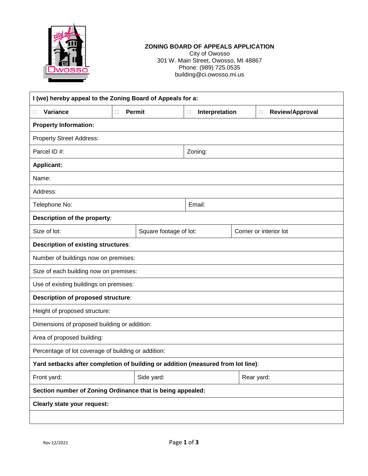

## **ZONING BOARD OF APPEALS APPLICATION**

City of Owosso 301 W. Main Street, Owosso, MI 48867 Phone: (989) 725.0535 building@ci.owosso.mi.us

| I (we) hereby appeal to the Zoning Board of Appeals for a:                       |                        |               |                          |                        |                           |  |  |
|----------------------------------------------------------------------------------|------------------------|---------------|--------------------------|------------------------|---------------------------|--|--|
| Variance<br>0                                                                    | $\Box$                 | <b>Permit</b> | Interpretation<br>$\Box$ |                        | Review/Approval<br>$\Box$ |  |  |
| <b>Property Information:</b>                                                     |                        |               |                          |                        |                           |  |  |
| <b>Property Street Address:</b>                                                  |                        |               |                          |                        |                           |  |  |
| Parcel ID #:                                                                     |                        | Zoning:       |                          |                        |                           |  |  |
| <b>Applicant:</b>                                                                |                        |               |                          |                        |                           |  |  |
| Name:                                                                            |                        |               |                          |                        |                           |  |  |
| Address:                                                                         |                        |               |                          |                        |                           |  |  |
| Telephone No:                                                                    |                        | Email:        |                          |                        |                           |  |  |
| Description of the property:                                                     |                        |               |                          |                        |                           |  |  |
| Size of lot:                                                                     | Square footage of lot: |               |                          | Corner or interior lot |                           |  |  |
| <b>Description of existing structures:</b>                                       |                        |               |                          |                        |                           |  |  |
| Number of buildings now on premises:                                             |                        |               |                          |                        |                           |  |  |
| Size of each building now on premises:                                           |                        |               |                          |                        |                           |  |  |
| Use of existing buildings on premises:                                           |                        |               |                          |                        |                           |  |  |
| <b>Description of proposed structure:</b>                                        |                        |               |                          |                        |                           |  |  |
| Height of proposed structure:                                                    |                        |               |                          |                        |                           |  |  |
| Dimensions of proposed building or addition:                                     |                        |               |                          |                        |                           |  |  |
| Area of proposed building:                                                       |                        |               |                          |                        |                           |  |  |
| Percentage of lot coverage of building or addition:                              |                        |               |                          |                        |                           |  |  |
| Yard setbacks after completion of building or addition (measured from lot line): |                        |               |                          |                        |                           |  |  |
| Side yard:<br>Front yard:                                                        |                        |               |                          | Rear yard:             |                           |  |  |
| Section number of Zoning Ordinance that is being appealed:                       |                        |               |                          |                        |                           |  |  |
| Clearly state your request:                                                      |                        |               |                          |                        |                           |  |  |
|                                                                                  |                        |               |                          |                        |                           |  |  |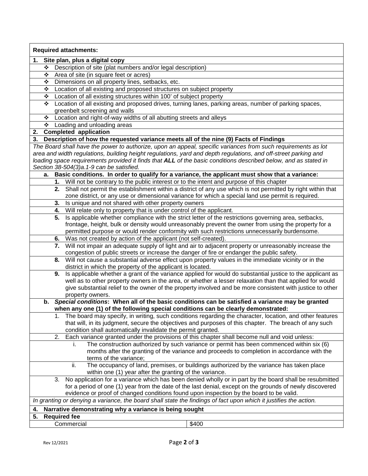| <b>Required attachments:</b>                                                                                                                                                                              |  |  |  |  |  |  |
|-----------------------------------------------------------------------------------------------------------------------------------------------------------------------------------------------------------|--|--|--|--|--|--|
| Site plan, plus a digital copy<br>1.                                                                                                                                                                      |  |  |  |  |  |  |
| Description of site (plat numbers and/or legal description)<br>❖                                                                                                                                          |  |  |  |  |  |  |
| Area of site (in square feet or acres)<br>❖                                                                                                                                                               |  |  |  |  |  |  |
| Dimensions on all property lines, setbacks, etc.<br>❖                                                                                                                                                     |  |  |  |  |  |  |
| Location of all existing and proposed structures on subject property<br>❖                                                                                                                                 |  |  |  |  |  |  |
| Location of all existing structures within 100' of subject property<br>※                                                                                                                                  |  |  |  |  |  |  |
| Location of all existing and proposed drives, turning lanes, parking areas, number of parking spaces,<br>❖                                                                                                |  |  |  |  |  |  |
| greenbelt screening and walls                                                                                                                                                                             |  |  |  |  |  |  |
| * Location and right-of-way widths of all abutting streets and alleys                                                                                                                                     |  |  |  |  |  |  |
| ❖ Loading and unloading areas                                                                                                                                                                             |  |  |  |  |  |  |
| <b>Completed application</b><br>2.                                                                                                                                                                        |  |  |  |  |  |  |
| Description of how the requested variance meets all of the nine (9) Facts of Findings<br>3.                                                                                                               |  |  |  |  |  |  |
| The Board shall have the power to authorize, upon an appeal, specific variances from such requirements as lot                                                                                             |  |  |  |  |  |  |
| area and width regulations, building height regulations, yard and depth regulations, and off-street parking and                                                                                           |  |  |  |  |  |  |
| loading space requirements provided it finds that ALL of the basic conditions described below, and as stated in                                                                                           |  |  |  |  |  |  |
| Section 38-504(3)a.1-9 can be satisfied.                                                                                                                                                                  |  |  |  |  |  |  |
| Basic conditions. In order to qualify for a variance, the applicant must show that a variance:<br>а.                                                                                                      |  |  |  |  |  |  |
| 1. Will not be contrary to the public interest or to the intent and purpose of this chapter                                                                                                               |  |  |  |  |  |  |
| 2. Shall not permit the establishment within a district of any use which is not permitted by right within that                                                                                            |  |  |  |  |  |  |
| zone district, or any use or dimensional variance for which a special land use permit is required.                                                                                                        |  |  |  |  |  |  |
| Is unique and not shared with other property owners<br>3.                                                                                                                                                 |  |  |  |  |  |  |
| Will relate only to property that is under control of the applicant.<br>4.                                                                                                                                |  |  |  |  |  |  |
| Is applicable whether compliance with the strict letter of the restrictions governing area, setbacks,<br>5.                                                                                               |  |  |  |  |  |  |
| frontage, height, bulk or density would unreasonably prevent the owner from using the property for a                                                                                                      |  |  |  |  |  |  |
| permitted purpose or would render conformity with such restrictions unnecessarily burdensome.                                                                                                             |  |  |  |  |  |  |
| Was not created by action of the applicant (not self-created).<br>6.                                                                                                                                      |  |  |  |  |  |  |
| Will not impair an adequate supply of light and air to adjacent property or unreasonably increase the<br>7.<br>congestion of public streets or increase the danger of fire or endanger the public safety. |  |  |  |  |  |  |
| 8. Will not cause a substantial adverse effect upon property values in the immediate vicinity or in the<br>district in which the property of the applicant is located.                                    |  |  |  |  |  |  |
| Is applicable whether a grant of the variance applied for would do substantial justice to the applicant as<br>9.                                                                                          |  |  |  |  |  |  |
| well as to other property owners in the area, or whether a lesser relaxation than that applied for would                                                                                                  |  |  |  |  |  |  |
| give substantial relief to the owner of the property involved and be more consistent with justice to other                                                                                                |  |  |  |  |  |  |
| property owners.                                                                                                                                                                                          |  |  |  |  |  |  |
| Special conditions: When all of the basic conditions can be satisfied a variance may be granted<br>b.                                                                                                     |  |  |  |  |  |  |
| when any one (1) of the following special conditions can be clearly demonstrated:                                                                                                                         |  |  |  |  |  |  |
| The board may specify, in writing, such conditions regarding the character, location, and other features                                                                                                  |  |  |  |  |  |  |
| that will, in its judgment, secure the objectives and purposes of this chapter. The breach of any such                                                                                                    |  |  |  |  |  |  |
| condition shall automatically invalidate the permit granted.                                                                                                                                              |  |  |  |  |  |  |
| Each variance granted under the provisions of this chapter shall become null and void unless:<br>2.                                                                                                       |  |  |  |  |  |  |
| The construction authorized by such variance or permit has been commenced within six (6)<br>i.                                                                                                            |  |  |  |  |  |  |
| months after the granting of the variance and proceeds to completion in accordance with the                                                                                                               |  |  |  |  |  |  |
| terms of the variance;                                                                                                                                                                                    |  |  |  |  |  |  |
| The occupancy of land, premises, or buildings authorized by the variance has taken place<br>ii.                                                                                                           |  |  |  |  |  |  |
| within one (1) year after the granting of the variance.                                                                                                                                                   |  |  |  |  |  |  |
| 3. No application for a variance which has been denied wholly or in part by the board shall be resubmitted                                                                                                |  |  |  |  |  |  |
| for a period of one (1) year from the date of the last denial, except on the grounds of newly discovered                                                                                                  |  |  |  |  |  |  |
| evidence or proof of changed conditions found upon inspection by the board to be valid.                                                                                                                   |  |  |  |  |  |  |
| In granting or denying a variance, the board shall state the findings of fact upon which it justifies the action.                                                                                         |  |  |  |  |  |  |
| Narrative demonstrating why a variance is being sought<br>4.                                                                                                                                              |  |  |  |  |  |  |
| 5.<br><b>Required fee</b>                                                                                                                                                                                 |  |  |  |  |  |  |
| \$400<br>Commercial                                                                                                                                                                                       |  |  |  |  |  |  |
|                                                                                                                                                                                                           |  |  |  |  |  |  |